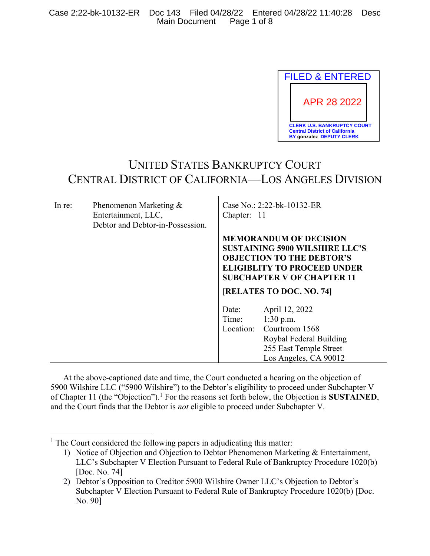

# UNITED STATES BANKRUPTCY COURT CENTRAL DISTRICT OF CALIFORNIA—LOS ANGELES DIVISION

| In re: | Phenomenon Marketing &<br>Entertainment, LLC,<br>Debtor and Debtor-in-Possession. | Case No.: 2:22-bk-10132-ER<br>Chapter: 11                                                                                                                                             |                                                                                                                               |
|--------|-----------------------------------------------------------------------------------|---------------------------------------------------------------------------------------------------------------------------------------------------------------------------------------|-------------------------------------------------------------------------------------------------------------------------------|
|        |                                                                                   | <b>MEMORANDUM OF DECISION</b><br><b>SUSTAINING 5900 WILSHIRE LLC'S</b><br><b>OBJECTION TO THE DEBTOR'S</b><br><b>ELIGIBLITY TO PROCEED UNDER</b><br><b>SUBCHAPTER V OF CHAPTER 11</b> |                                                                                                                               |
|        |                                                                                   | [RELATES TO DOC. NO. 74]                                                                                                                                                              |                                                                                                                               |
|        |                                                                                   | Date:<br>Time:<br>Location:                                                                                                                                                           | April 12, 2022<br>$1:30$ p.m.<br>Courtroom 1568<br>Roybal Federal Building<br>255 East Temple Street<br>Los Angeles, CA 90012 |

At the above-captioned date and time, the Court conducted a hearing on the objection of 5900 Wilshire LLC ("5900 Wilshire") to the Debtor's eligibility to proceed under Subchapter V of Chapter 11 (the "Objection").<sup>1</sup> For the reasons set forth below, the Objection is **SUSTAINED**, and the Court finds that the Debtor is *not* eligible to proceed under Subchapter V.

 $<sup>1</sup>$  The Court considered the following papers in adjudicating this matter:</sup>

<sup>1)</sup> Notice of Objection and Objection to Debtor Phenomenon Marketing & Entertainment, LLC's Subchapter V Election Pursuant to Federal Rule of Bankruptcy Procedure 1020(b) [Doc. No. 74]

<sup>2)</sup> Debtor's Opposition to Creditor 5900 Wilshire Owner LLC's Objection to Debtor's Subchapter V Election Pursuant to Federal Rule of Bankruptcy Procedure 1020(b) [Doc. No. 90]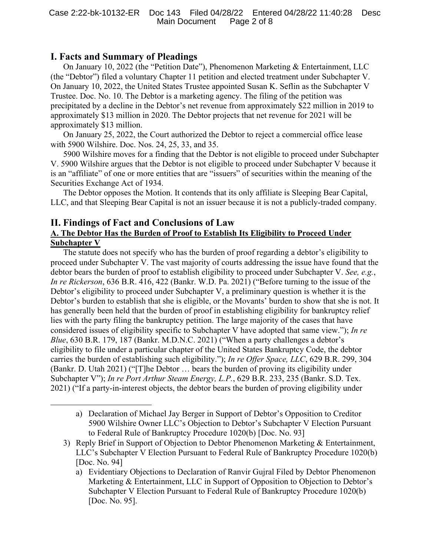# **I. Facts and Summary of Pleadings**

On January 10, 2022 (the "Petition Date"), Phenomenon Marketing & Entertainment, LLC (the "Debtor") filed a voluntary Chapter 11 petition and elected treatment under Subchapter V. On January 10, 2022, the United States Trustee appointed Susan K. Seflin as the Subchapter V Trustee. Doc. No. 10. The Debtor is a marketing agency. The filing of the petition was precipitated by a decline in the Debtor's net revenue from approximately \$22 million in 2019 to approximately \$13 million in 2020. The Debtor projects that net revenue for 2021 will be approximately \$13 million.

On January 25, 2022, the Court authorized the Debtor to reject a commercial office lease with 5900 Wilshire. Doc. Nos. 24, 25, 33, and 35.

5900 Wilshire moves for a finding that the Debtor is not eligible to proceed under Subchapter V. 5900 Wilshire argues that the Debtor is not eligible to proceed under Subchapter V because it is an "affiliate" of one or more entities that are "issuers" of securities within the meaning of the Securities Exchange Act of 1934.

The Debtor opposes the Motion. It contends that its only affiliate is Sleeping Bear Capital, LLC, and that Sleeping Bear Capital is not an issuer because it is not a publicly-traded company.

## **II. Findings of Fact and Conclusions of Law A. The Debtor Has the Burden of Proof to Establish Its Eligibility to Proceed Under Subchapter V**

The statute does not specify who has the burden of proof regarding a debtor's eligibility to proceed under Subchapter V. The vast majority of courts addressing the issue have found that the debtor bears the burden of proof to establish eligibility to proceed under Subchapter V. *See, e.g.*, *In re Rickerson*, 636 B.R. 416, 422 (Bankr. W.D. Pa. 2021) ("Before turning to the issue of the Debtor's eligibility to proceed under Subchapter V, a preliminary question is whether it is the Debtor's burden to establish that she is eligible, or the Movants' burden to show that she is not. It has generally been held that the burden of proof in establishing eligibility for bankruptcy relief lies with the party filing the bankruptcy petition. The large majority of the cases that have considered issues of eligibility specific to Subchapter V have adopted that same view."); *In re Blue*, 630 B.R. 179, 187 (Bankr. M.D.N.C. 2021) ("When a party challenges a debtor's eligibility to file under a particular chapter of the United States Bankruptcy Code, the debtor carries the burden of establishing such eligibility."); *In re Offer Space, LLC*, 629 B.R. 299, 304 (Bankr. D. Utah 2021) ("[T]he Debtor … bears the burden of proving its eligibility under Subchapter V"); *In re Port Arthur Steam Energy, L.P.*, 629 B.R. 233, 235 (Bankr. S.D. Tex. 2021) ("If a party-in-interest objects, the debtor bears the burden of proving eligibility under

a) Declaration of Michael Jay Berger in Support of Debtor's Opposition to Creditor 5900 Wilshire Owner LLC's Objection to Debtor's Subchapter V Election Pursuant to Federal Rule of Bankruptcy Procedure 1020(b) [Doc. No. 93]

<sup>3)</sup> Reply Brief in Support of Objection to Debtor Phenomenon Marketing & Entertainment, LLC's Subchapter V Election Pursuant to Federal Rule of Bankruptcy Procedure 1020(b) [Doc. No. 94]

a) Evidentiary Objections to Declaration of Ranvir Gujral Filed by Debtor Phenomenon Marketing & Entertainment, LLC in Support of Opposition to Objection to Debtor's Subchapter V Election Pursuant to Federal Rule of Bankruptcy Procedure 1020(b) [Doc. No. 95].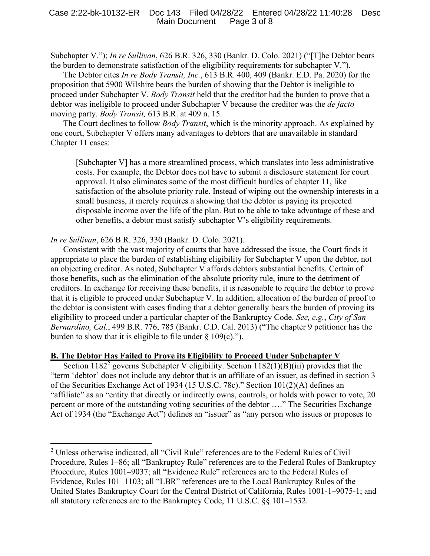Subchapter V."); *In re Sullivan*, 626 B.R. 326, 330 (Bankr. D. Colo. 2021) ("[T]he Debtor bears the burden to demonstrate satisfaction of the eligibility requirements for subchapter V.").

The Debtor cites *In re Body Transit, Inc.*, 613 B.R. 400, 409 (Bankr. E.D. Pa. 2020) for the proposition that 5900 Wilshire bears the burden of showing that the Debtor is ineligible to proceed under Subchapter V. *Body Transit* held that the creditor had the burden to prove that a debtor was ineligible to proceed under Subchapter V because the creditor was the *de facto*  moving party. *Body Transit,* 613 B.R. at 409 n. 15.

The Court declines to follow *Body Transit*, which is the minority approach. As explained by one court, Subchapter V offers many advantages to debtors that are unavailable in standard Chapter 11 cases:

[Subchapter V] has a more streamlined process, which translates into less administrative costs. For example, the Debtor does not have to submit a disclosure statement for court approval. It also eliminates some of the most difficult hurdles of chapter 11, like satisfaction of the absolute priority rule. Instead of wiping out the ownership interests in a small business, it merely requires a showing that the debtor is paying its projected disposable income over the life of the plan. But to be able to take advantage of these and other benefits, a debtor must satisfy subchapter V's eligibility requirements.

*In re Sullivan*, 626 B.R. 326, 330 (Bankr. D. Colo. 2021).

Consistent with the vast majority of courts that have addressed the issue, the Court finds it appropriate to place the burden of establishing eligibility for Subchapter V upon the debtor, not an objecting creditor. As noted, Subchapter V affords debtors substantial benefits. Certain of those benefits, such as the elimination of the absolute priority rule, inure to the detriment of creditors. In exchange for receiving these benefits, it is reasonable to require the debtor to prove that it is eligible to proceed under Subchapter V. In addition, allocation of the burden of proof to the debtor is consistent with cases finding that a debtor generally bears the burden of proving its eligibility to proceed under a particular chapter of the Bankruptcy Code. *See, e.g.*, *City of San Bernardino, Cal.*, 499 B.R. 776, 785 (Bankr. C.D. Cal. 2013) ("The chapter 9 petitioner has the burden to show that it is eligible to file under  $\S$  109(c).").

### **B. The Debtor Has Failed to Prove its Eligibility to Proceed Under Subchapter V**

Section 1182<sup>2</sup> governs Subchapter V eligibility. Section 1182(1)(B)(iii) provides that the "term 'debtor' does not include any debtor that is an affiliate of an issuer, as defined in section 3 of the Securities Exchange Act of 1934 (15 U.S.C. 78c)." Section 101(2)(A) defines an "affiliate" as an "entity that directly or indirectly owns, controls, or holds with power to vote, 20 percent or more of the outstanding voting securities of the debtor …." The Securities Exchange Act of 1934 (the "Exchange Act") defines an "issuer" as "any person who issues or proposes to

<sup>2</sup> Unless otherwise indicated, all "Civil Rule" references are to the Federal Rules of Civil Procedure, Rules 1–86; all "Bankruptcy Rule" references are to the Federal Rules of Bankruptcy Procedure, Rules 1001–9037; all "Evidence Rule" references are to the Federal Rules of Evidence, Rules 101–1103; all "LBR" references are to the Local Bankruptcy Rules of the United States Bankruptcy Court for the Central District of California, Rules 1001-1–9075-1; and all statutory references are to the Bankruptcy Code, 11 U.S.C. §§ 101–1532.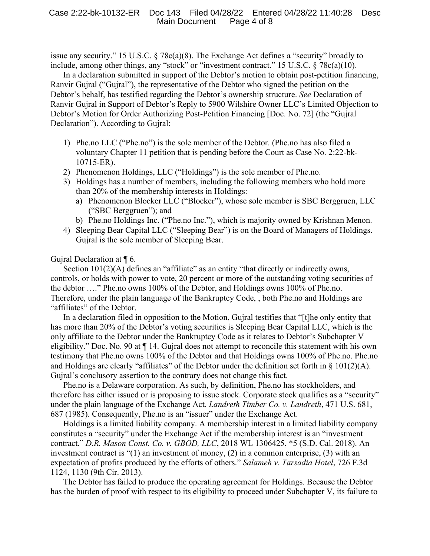issue any security." 15 U.S.C. § 78c(a)(8). The Exchange Act defines a "security" broadly to include, among other things, any "stock" or "investment contract." 15 U.S.C. § 78c(a)(10).

In a declaration submitted in support of the Debtor's motion to obtain post-petition financing, Ranvir Gujral ("Gujral"), the representative of the Debtor who signed the petition on the Debtor's behalf, has testified regarding the Debtor's ownership structure. *See* Declaration of Ranvir Gujral in Support of Debtor's Reply to 5900 Wilshire Owner LLC's Limited Objection to Debtor's Motion for Order Authorizing Post-Petition Financing [Doc. No. 72] (the "Gujral Declaration"). According to Gujral:

- 1) Phe.no LLC ("Phe.no") is the sole member of the Debtor. (Phe.no has also filed a voluntary Chapter 11 petition that is pending before the Court as Case No. 2:22-bk-10715-ER).
- 2) Phenomenon Holdings, LLC ("Holdings") is the sole member of Phe.no.
- 3) Holdings has a number of members, including the following members who hold more than 20% of the membership interests in Holdings:
	- a) Phenomenon Blocker LLC ("Blocker"), whose sole member is SBC Berggruen, LLC ("SBC Berggruen"); and
	- b) Phe.no Holdings Inc. ("Phe.no Inc."), which is majority owned by Krishnan Menon.
- 4) Sleeping Bear Capital LLC ("Sleeping Bear") is on the Board of Managers of Holdings. Gujral is the sole member of Sleeping Bear.

Gujral Declaration at ¶ 6.

Section 101(2)(A) defines an "affiliate" as an entity "that directly or indirectly owns, controls, or holds with power to vote, 20 percent or more of the outstanding voting securities of the debtor …." Phe.no owns 100% of the Debtor, and Holdings owns 100% of Phe.no. Therefore, under the plain language of the Bankruptcy Code, , both Phe.no and Holdings are "affiliates" of the Debtor.

In a declaration filed in opposition to the Motion, Gujral testifies that "[t]he only entity that has more than 20% of the Debtor's voting securities is Sleeping Bear Capital LLC, which is the only affiliate to the Debtor under the Bankruptcy Code as it relates to Debtor's Subchapter V eligibility." Doc. No. 90 at ¶ 14. Gujral does not attempt to reconcile this statement with his own testimony that Phe.no owns 100% of the Debtor and that Holdings owns 100% of Phe.no. Phe.no and Holdings are clearly "affiliates" of the Debtor under the definition set forth in  $\S$  101(2)(A). Gujral's conclusory assertion to the contrary does not change this fact.

Phe.no is a Delaware corporation. As such, by definition, Phe.no has stockholders, and therefore has either issued or is proposing to issue stock. Corporate stock qualifies as a "security" under the plain language of the Exchange Act. *Landreth Timber Co. v. Landreth*, 471 U.S. 681, 687 (1985). Consequently, Phe.no is an "issuer" under the Exchange Act.

Holdings is a limited liability company. A membership interest in a limited liability company constitutes a "security" under the Exchange Act if the membership interest is an "investment contract." *D.R. Mason Const. Co. v. GBOD, LLC*, 2018 WL 1306425, \*5 (S.D. Cal. 2018). An investment contract is "(1) an investment of money, (2) in a common enterprise, (3) with an expectation of profits produced by the efforts of others." *Salameh v. Tarsadia Hotel*, 726 F.3d 1124, 1130 (9th Cir. 2013).

The Debtor has failed to produce the operating agreement for Holdings. Because the Debtor has the burden of proof with respect to its eligibility to proceed under Subchapter V, its failure to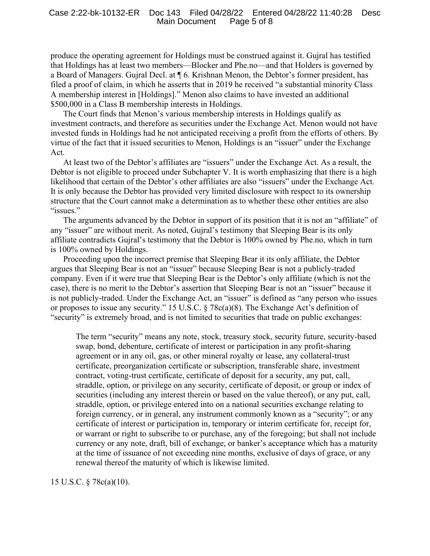produce the operating agreement for Holdings must be construed against it. Gujral has testified that Holdings has at least two members—Blocker and Phe.no—and that Holders is governed by a Board of Managers. Gujral Decl. at ¶ 6. Krishnan Menon, the Debtor's former president, has filed a proof of claim, in which he asserts that in 2019 he received "a substantial minority Class A membership interest in [Holdings]." Menon also claims to have invested an additional \$500,000 in a Class B membership interests in Holdings.

The Court finds that Menon's various membership interests in Holdings qualify as investment contracts, and therefore as securities under the Exchange Act. Menon would not have invested funds in Holdings had he not anticipated receiving a profit from the efforts of others. By virtue of the fact that it issued securities to Menon, Holdings is an "issuer" under the Exchange Act.

At least two of the Debtor's affiliates are "issuers" under the Exchange Act. As a result, the Debtor is not eligible to proceed under Subchapter V. It is worth emphasizing that there is a high likelihood that certain of the Debtor's other affiliates are also "issuers" under the Exchange Act. It is only because the Debtor has provided very limited disclosure with respect to its ownership structure that the Court cannot make a determination as to whether these other entities are also "issues."

The arguments advanced by the Debtor in support of its position that it is not an "affiliate" of any "issuer" are without merit. As noted, Gujral's testimony that Sleeping Bear is its only affiliate contradicts Gujral's testimony that the Debtor is 100% owned by Phe.no, which in turn is 100% owned by Holdings.

Proceeding upon the incorrect premise that Sleeping Bear it its only affiliate, the Debtor argues that Sleeping Bear is not an "issuer" because Sleeping Bear is not a publicly-traded company. Even if it were true that Sleeping Bear is the Debtor's only affiliate (which is not the case), there is no merit to the Debtor's assertion that Sleeping Bear is not an "issuer" because it is not publicly-traded. Under the Exchange Act, an "issuer" is defined as "any person who issues or proposes to issue any security." 15 U.S.C. § 78c(a)(8). The Exchange Act's definition of "security" is extremely broad, and is not limited to securities that trade on public exchanges:

The term "security" means any note, stock, treasury stock, security future, security-based swap, bond, debenture, certificate of interest or participation in any profit-sharing agreement or in any oil, gas, or other mineral royalty or lease, any collateral-trust certificate, preorganization certificate or subscription, transferable share, investment contract, voting-trust certificate, certificate of deposit for a security, any put, call, straddle, option, or privilege on any security, certificate of deposit, or group or index of securities (including any interest therein or based on the value thereof), or any put, call, straddle, option, or privilege entered into on a national securities exchange relating to foreign currency, or in general, any instrument commonly known as a "security"; or any certificate of interest or participation in, temporary or interim certificate for, receipt for, or warrant or right to subscribe to or purchase, any of the foregoing; but shall not include currency or any note, draft, bill of exchange, or banker's acceptance which has a maturity at the time of issuance of not exceeding nine months, exclusive of days of grace, or any renewal thereof the maturity of which is likewise limited.

15 U.S.C. § 78c(a)(10).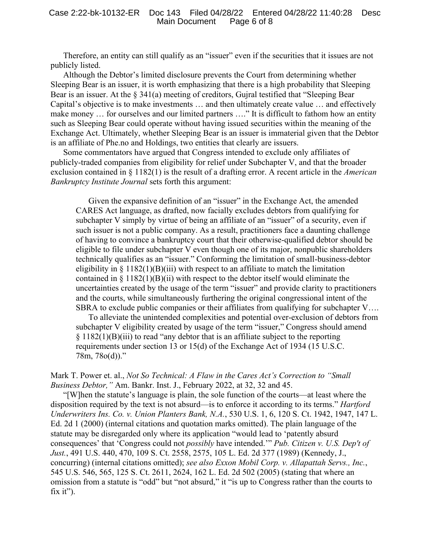Therefore, an entity can still qualify as an "issuer" even if the securities that it issues are not publicly listed.

Although the Debtor's limited disclosure prevents the Court from determining whether Sleeping Bear is an issuer, it is worth emphasizing that there is a high probability that Sleeping Bear is an issuer. At the  $\S 341(a)$  meeting of creditors, Gujral testified that "Sleeping Bear" Capital's objective is to make investments … and then ultimately create value … and effectively make money ... for ourselves and our limited partners ...." It is difficult to fathom how an entity such as Sleeping Bear could operate without having issued securities within the meaning of the Exchange Act. Ultimately, whether Sleeping Bear is an issuer is immaterial given that the Debtor is an affiliate of Phe.no and Holdings, two entities that clearly are issuers.

Some commentators have argued that Congress intended to exclude only affiliates of publicly-traded companies from eligibility for relief under Subchapter V, and that the broader exclusion contained in § 1182(1) is the result of a drafting error. A recent article in the *American Bankruptcy Institute Journal* sets forth this argument:

Given the expansive definition of an "issuer" in the Exchange Act, the amended CARES Act language, as drafted, now facially excludes debtors from qualifying for subchapter V simply by virtue of being an affiliate of an "issuer" of a security, even if such issuer is not a public company. As a result, practitioners face a daunting challenge of having to convince a bankruptcy court that their otherwise-qualified debtor should be eligible to file under subchapter V even though one of its major, nonpublic shareholders technically qualifies as an "issuer." Conforming the limitation of small-business-debtor eligibility in  $\S 1182(1)(B)(iii)$  with respect to an affiliate to match the limitation contained in  $\S 1182(1)(B)(ii)$  with respect to the debtor itself would eliminate the uncertainties created by the usage of the term "issuer" and provide clarity to practitioners and the courts, while simultaneously furthering the original congressional intent of the SBRA to exclude public companies or their affiliates from qualifying for subchapter V….

To alleviate the unintended complexities and potential over-exclusion of debtors from subchapter V eligibility created by usage of the term "issuer," Congress should amend § 1182(1)(B)(iii) to read "any debtor that is an affiliate subject to the reporting requirements under section 13 or 15(d) of the Exchange Act of 1934 (15 U.S.C. 78m, 78o(d))."

Mark T. Power et. al., *Not So Technical: A Flaw in the Cares Act's Correction to "Small Business Debtor,"* Am. Bankr. Inst. J., February 2022, at 32, 32 and 45.

"[W]hen the statute's language is plain, the sole function of the courts—at least where the disposition required by the text is not absurd—is to enforce it according to its terms." *Hartford Underwriters Ins. Co. v. Union Planters Bank, N.A.*, 530 U.S. 1, 6, 120 S. Ct. 1942, 1947, 147 L. Ed. 2d 1 (2000) (internal citations and quotation marks omitted). The plain language of the statute may be disregarded only where its application "would lead to 'patently absurd consequences' that 'Congress could not *possibly* have intended.'" *Pub. Citizen v. U.S. Dep't of Just.*, 491 U.S. 440, 470, 109 S. Ct. 2558, 2575, 105 L. Ed. 2d 377 (1989) (Kennedy, J., concurring) (internal citations omitted); *see also Exxon Mobil Corp. v. Allapattah Servs., Inc.*, 545 U.S. 546, 565, 125 S. Ct. 2611, 2624, 162 L. Ed. 2d 502 (2005) (stating that where an omission from a statute is "odd" but "not absurd," it "is up to Congress rather than the courts to fix it").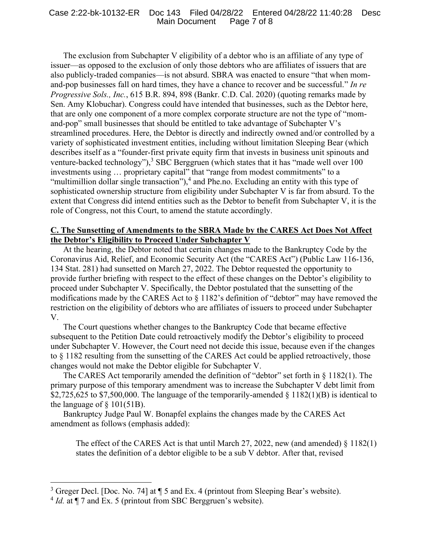#### Case 2:22-bk-10132-ER Doc 143 Filed 04/28/22 Entered 04/28/22 11:40:28 Desc Main Document Page 7 of 8

The exclusion from Subchapter V eligibility of a debtor who is an affiliate of any type of issuer—as opposed to the exclusion of only those debtors who are affiliates of issuers that are also publicly-traded companies—is not absurd. SBRA was enacted to ensure "that when momand-pop businesses fall on hard times, they have a chance to recover and be successful." *In re Progressive Sols., Inc.*, 615 B.R. 894, 898 (Bankr. C.D. Cal. 2020) (quoting remarks made by Sen. Amy Klobuchar). Congress could have intended that businesses, such as the Debtor here, that are only one component of a more complex corporate structure are not the type of "momand-pop" small businesses that should be entitled to take advantage of Subchapter V's streamlined procedures. Here, the Debtor is directly and indirectly owned and/or controlled by a variety of sophisticated investment entities, including without limitation Sleeping Bear (which describes itself as a "founder-first private equity firm that invests in business unit spinouts and venture-backed technology"),<sup>3</sup> SBC Berggruen (which states that it has "made well over 100 investments using … proprietary capital" that "range from modest commitments" to a "multimillion dollar single transaction"), $4$  and Phe.no. Excluding an entity with this type of sophisticated ownership structure from eligibility under Subchapter V is far from absurd. To the extent that Congress did intend entities such as the Debtor to benefit from Subchapter V, it is the role of Congress, not this Court, to amend the statute accordingly.

## **C. The Sunsetting of Amendments to the SBRA Made by the CARES Act Does Not Affect the Debtor's Eligibility to Proceed Under Subchapter V**

At the hearing, the Debtor noted that certain changes made to the Bankruptcy Code by the Coronavirus Aid, Relief, and Economic Security Act (the "CARES Act") (Public Law 116-136, 134 Stat. 281) had sunsetted on March 27, 2022. The Debtor requested the opportunity to provide further briefing with respect to the effect of these changes on the Debtor's eligibility to proceed under Subchapter V. Specifically, the Debtor postulated that the sunsetting of the modifications made by the CARES Act to  $\S$  1182's definition of "debtor" may have removed the restriction on the eligibility of debtors who are affiliates of issuers to proceed under Subchapter V.

The Court questions whether changes to the Bankruptcy Code that became effective subsequent to the Petition Date could retroactively modify the Debtor's eligibility to proceed under Subchapter V. However, the Court need not decide this issue, because even if the changes to § 1182 resulting from the sunsetting of the CARES Act could be applied retroactively, those changes would not make the Debtor eligible for Subchapter V.

The CARES Act temporarily amended the definition of "debtor" set forth in § 1182(1). The primary purpose of this temporary amendment was to increase the Subchapter V debt limit from \$2,725,625 to \$7,500,000. The language of the temporarily-amended  $\S 1182(1)(B)$  is identical to the language of  $\S$  101(51B).

Bankruptcy Judge Paul W. Bonapfel explains the changes made by the CARES Act amendment as follows (emphasis added):

The effect of the CARES Act is that until March 27, 2022, new (and amended) § 1182(1) states the definition of a debtor eligible to be a sub V debtor. After that, revised

<sup>&</sup>lt;sup>3</sup> Greger Decl. [Doc. No. 74] at  $\P$  5 and Ex. 4 (printout from Sleeping Bear's website).

 $4$  *Id.* at  $\P$  7 and Ex. 5 (printout from SBC Berggruen's website).